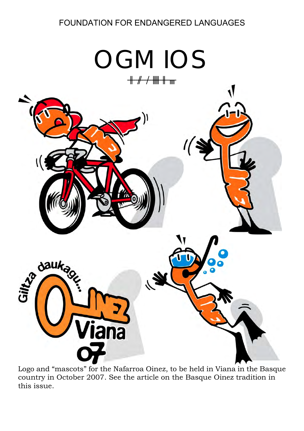## FOUNDATION FOR ENDANGERED LANGUAGES

**OGMIOS** 



Logo and "mascots" for the Nafarroa Oinez, to be held in Viana in the Basque country in October 2007. See the article on the Basque Oinez tradition in this issue.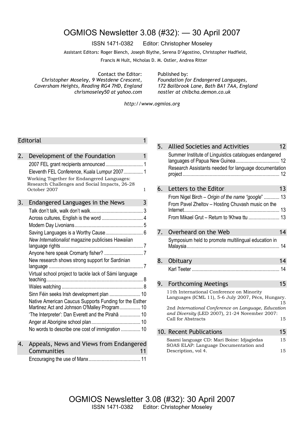## OGMIOS Newsletter 3.08 (#32): — 30 April 2007

ISSN 1471-0382 Editor: Christopher Moseley

Assistant Editors: Roger Blench, Joseph Blythe, Serena D'Agostino, Christopher Hadfield,

Francis M Hult, Nicholas D. M. Ostler, Andrea Ritter

Contact the Editor: *Christopher Moseley, 9 Westdene Crescent, Caversham Heights, Reading RG4 7HD, England chrismoseley50 at yahoo.com*

Published by: *Foundation for Endangered Languages, 172 Bailbrook Lane, Bath BA1 7AA, England nostler at chibcha.demon.co.uk*

*http://www.ogmios.org*

| Editorial |  |
|-----------|--|
|-----------|--|

| 2. | 1<br>Development of the Foundation                                                                                                                                                                                                                                                                                                                                                                                        |
|----|---------------------------------------------------------------------------------------------------------------------------------------------------------------------------------------------------------------------------------------------------------------------------------------------------------------------------------------------------------------------------------------------------------------------------|
|    | Eleventh FEL Conference, Kuala Lumpur 2007 1<br>Working Together for Endangered Languages:<br>Research Challenges and Social Impacts, 26-28<br>October 2007<br>1                                                                                                                                                                                                                                                          |
| 3. | 3<br>Endangered Languages in the News                                                                                                                                                                                                                                                                                                                                                                                     |
|    | Saving Languages is a Worthy Cause 6<br>New Internationalist magazine publicises Hawaiian<br>New research shows strong support for Sardinian<br>Virtual school project to tackle lack of Sámi language<br>Native American Caucus Supports Funding for the Esther<br>Martinez Act and Johnson O'Malley Program 10<br>'The Interpreter': Dan Everett and the Pirahã  10<br>No words to describe one cost of immigration  10 |
| 4. | Appeals, News and Views from Endangered<br>Communities<br>11                                                                                                                                                                                                                                                                                                                                                              |

| <b>Communities</b> |  |
|--------------------|--|
|                    |  |

| 5. | Allied Societies and Activities                       | 12 |
|----|-------------------------------------------------------|----|
|    | Summer Institute of Linguistics catalogues endangered |    |
|    |                                                       |    |
|    | Research Assistants needed for language documentation |    |
|    |                                                       |    |
| 6. | Letters to the Editor                                 | 13 |
|    |                                                       |    |
|    | From Nigel Birch - Origin of the name "google"  13    |    |
|    | From Pavel Zheltov - Hosting Chuvash music on the     |    |
|    |                                                       |    |
|    |                                                       |    |
| 7. | Overheard on the Web                                  | 14 |
|    | Symposium held to promote multilingual education in   |    |
|    |                                                       | 14 |
|    |                                                       |    |
| 8. | Obituary                                              | 14 |
|    |                                                       |    |
|    |                                                       |    |
| 9. | <b>Forthcoming Meetings</b>                           | 15 |
|    | 11th International Conference on Minority             |    |
|    | Languages (ICML 11), 5-6 July 2007, Pécs, Hungary.    | 15 |
|    | 2nd International Conference on Language, Education   |    |
|    | and Diversity (LED 2007), 21-24 November 2007:        |    |
|    | Call for Abstracts                                    | 15 |
|    | 10. Recent Publications                               | 15 |
|    | Saami language CD: Mari Boine: Idjagiedas             | 15 |
|    | SOAS ELAP: Language Documentation and                 |    |
|    | Description, vol 4.                                   | 15 |

OGMIOS Newsletter 3.08 (#32): 30 April 2007 ISSN 1471-0382 Editor: Christopher Moseley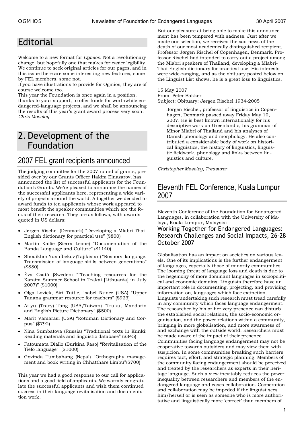## Editorial

Welcome to a new format for *Ogmios*. Not a revolutionary change, but hopefully one that makes for easier legibility. We continue to seek original articles for our pages, and in this issue there are some interesting new features, some by FEL members, some not.

If you have illustrations to provide for Ogmios, they are of course welcome too.

This year the Foundation is once again in a position, thanks to your support, to offer funds for worthwhile endangered-language projects, and we shall be announcing the results of this year's grant award process very soon. *Chris Moseley*

### 2. Development of the Foundation

### 2007 FEL grant recipients announced

The judging committee for the 2007 round of grants, presided over by our Grants Officer Hakim Elnazarov, has announced the list of successful applicants for the Foundation's Grants. We're pleased to announce the names of the successful applicants here, representing a wide variety of projects around the world. Altogether we decided to award funds to ten applicants whose work appeared to most benefit the speaker communities which are the focus of their research. They are as follows, with awards quoted in US dollars:

- Jørgen Rischel (Denmark) "Developing a Mlabri-Thai-English dictionary for practical use"(\$800)
- Martin Kailie (Sierra Leone) "Documentation of the Banda Language and Culture"(\$1140)
- Shodikhor Yusufbekov (Tajikistan) "Roshorvi language: Transmission of language skills between generations" (\$880)
- Éva Csató (Sweden) ""Teaching resources for the Karaim Summer School in Trakai [Lithuania] in July 2007)"(\$1000)
- Olga Lovick, Siri Tuttle, Isabel Nunez (USA) "Upper Tanana grammar resource for teachers"(\$923)
- Ai-yu (Tracy) Tang (USA/Taiwan) "Truku, Mandarin and English Picture Dictionary"(\$500)
- Marit Vamarasi (USA) "Rotuman Dictionary and Corpus"(\$792)
- Nina Sumbatova (Russia) "Traditional texts in Kunki: Reading materials and linguistic database"(\$345)
- Fatoumata Diallo (Burkina Faso) "Revitalisation of the Tiefo language"(\$1000)
- Govinda Tumbahang (Nepal) "Orthography management and book writing in Chhatthare Limbu"(\$700)

This year we had a good response to our call for applications and a good field of applicants. We warmly congratulate the successful applicants and wish them continued success in their language revitalisation and documentation work.

But our pleasure at being able to make this announcement has been tempered with sadness. Just after we made our selection, we received the sad news of the death of our most academically distinguished recipient, Professor Jørgen Rischel of Copenhagen, Denmark. Professor Rischel had intended to carry out a project among the Mlabri speakers of Thailand, developing a Mlabri-Thai-English dictionary for practical use. His interests were wide-ranging, and as the obituary posted below on the Linguist List shows, he is a great loss to linguistics.

#### 15 May 2007

From: Peter Bakker Subject: Obituary: Jørgen Rischel 1934-2005

Jørgen Rischel, professor of linguistics in Copenhagen, Denmark passed away Friday May 10, 2007. He is best known internationally for his descriptive work on Greenlandic, his grammar of Minor Mlabri of Thailand and his analyses of Danish phonology and morphology. He also contributed a considerable body of work on historical linguistics, the history of linguistics, linguistic fieldwork, phonology and links between linguistics and culture.

*Christopher Moseley, Treasurer*

### Eleventh FEL Conference, Kuala Lumpur 2007

Eleventh Conference of the Foundation for Endangered Languages, in collaboration with the University of Malaya, Kuala Lumpur, Malaysia:

### Working Together for Endangered Languages: Research Challenges and Social Impacts, 26-28 October 2007

Globalisation has an impact on societies on various levels. One of its implications is the further endangerment of languages, especially those of minority communities. The looming threat of language loss and death is due to the hegemony of more dominant languages in sociopolitical and economic domains. Linguists therefore have an important role in documenting, projecting, and providing information on, languages which face extinction. Linguists undertaking such research must tread carefully in any community which faces language endangerment. The researcher by his or her very presence can disturb the established social relations, the socio-economic organisation, and the power relations within a community, bringing in more globalisation, and more awareness of and exchange with the outside world. Researchers must be made aware of the impact of their presence. Communities facing language endangerment may not be cooperative towards outsiders and may view them with suspicion. In some communities breaking such barriers requires tact, effort, and strategic planning. Members of the community facing endangerment should be perceived and treated by the researchers as experts in their heritage language. Such a view inevitably reduces the power inequality between researchers and members of the endangered language and eases collaboration. Cooperation and collaboration may be impeded if the linguist sees him/herself or is seen as someone who is more authoritative and linguistically more 'correct' than members of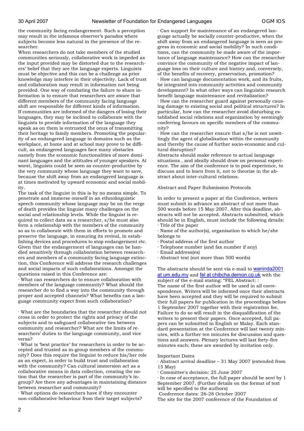the community facing endangerment. Such a perception may result in the infamous observer's paradox where subjects become less natural in the presence of the researcher.

When researchers do not take members of the studied communities seriously, collaborative work is impeded as the input provided may be distorted due to the researchers'belief that they are the language experts. Linguists must be objective and this can be a challenge as prior knowledge may interfere in their objectivity. Lack of trust and collaboration may result in information not being provided. One way of combating the failure to share information is to ensure that researchers are aware that different members of the community facing language shift are responsible for different kinds of information. If communities are informed of the dangers of losing their languages, they may be inclined to collaborate with the linguists to provide information of the language they speak as on them is entrusted the onus of transmitting their heritage to family members. Promoting the popularity of an endangered language in domains such as the workplace, at home and at school may prove to be difficult, as endangered languages face many obstacles namely from the economic functionalities of more dominant languages and the attitudes of younger speakers. At worst, linguists could be seen as counter-productive by the very community whose language they want to save, because the shift away from an endangered language is at times motivated by upward economic and social mobility.

The task of the linguist in this is by no means simple. To penetrate and immerse oneself in an ethnolinguistic speech community whose language may be on the verge of death provides the linguist many challenges on the social and relationship levels. While the linguist is required to collect data as a researcher, s/he must also form a relationship with the members of the community so as to collaborate with them in efforts to promote and preserve the language, in ensuring its revival, in establishing devices and procedures to stop endangerment etc. Given that the endangerment of languages can be handled sensitively through collaboration between researchers and members of a community facing language extinction, this Conference will address the research challenges and social impacts of such collaborations. Amongst the questions raised in this Conference are:

· What can researchers do to ensure collaboration with members of the language community? What should the researcher do to find a way into the community through proper and accepted channels? What benefits can a language community expect from such collaboration?

· What are the boundaries that the researcher should not cross in order to protect the rights and privacy of the subjects and to safeguard collaborative ties between community and researcher? What are the limits of researchers'duties to the language community, and vice versa?

· What is 'best practice'for researchers in order to be accepted and trusted as in-group members of the community? Does this require the linguist to reduce his/her role as an expert, in order to build trust and collaboration with the community? Can cultural immersion act as a collaborative means in data collection, creating the notion that the researcher is part of the community's ingroup? Are there any advantages in maintaining distance between researcher and community?

· What options do researchers have if they encounter non-collaborative behaviour from their target subjects?

· Can support for maintenance of an endangered language actually be socially counter-productive, when the shift away from an endangered language is seen as progress in economic and social mobility? In such conditions, can the community be made aware of the importance of language maintenance? How can the researcher convince the community of the negative impact of language loss on their culture and history and, conversely, of the benefits of recovery, preservation, promotion? · How can language documentation work, and its fruits, be integrated into community activities and community development? In what other ways can linguistic research benefit language maintenance and revitalization? · How can the researcher guard against personally causing damage to existing social and political structures? In particular, how can the researcher avoid disturbing established social relations and organization by seemingly conferring favours on specific members of the community?

· How can the researcher ensure that s/he is not unwittingly the agent of globalisation within the community and thereby the cause of further socio-economic and cultural disruption?

Abstracts should make reference to actual language situations , and ideally should draw on personal experience. The aim of the conference is to pool experience, to discuss and to learn from it, not to theorize in the abstract about inter-cultural relations.

Abstract and Paper Submission Protocols

In order to present a paper at the Conference, writers must submit in advance an abstract of not more than 500 words before 15 May 2007. After this deadline, abstracts will not be accepted. Abstracts submitted, which should be in English, must include the following details: · Title of the paper

· Name of the author(s), organisation to which he/she belongs to

- · Postal address of the first author
- · Telephone number (and fax number if any)
- · Email address(es)
- · Abstract text (not more than 500 words)

The abstracts should be sent via e-mail to waninda2001 at um.edu.my and fel at chibcha.demon.co.uk with the subject of the e-mail stating: "FEL Abstract: : The name of the first author will be used in all correspondence. Writers will be informed once their abstracts have been accepted and they will be required to submit their full papers for publication in the proceedings before 1 September 2007 together with their registration fee. Failure to do so will result in the disqualification of the writers to present their papers. Once accepted, full papers can be submitted in English or Malay. Each standard presentation at the Conference will last twenty minutes, with a further ten minutes for discussion and questions and answers. Plenary lectures will last forty-five minutes each; these are awarded by invitation only.

#### Important Dates

· Abstract arrival deadline –31 May 2007 (extended from 15 May)

· Committee's decision: 25 June 2007

· In case of acceptance, the full paper should be sent by 1 September 2007. (Further details on the format of text will be specified to the authors)

Conference dates: 26-28 October 2007

The site for the 2007 conference of the Foundation of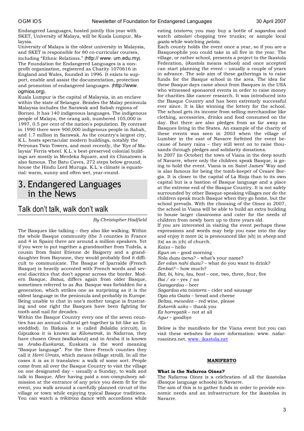Endangered Languages, hosted jointly this year with SKET, University of Malaya, will be Kuala Lumpur, Malaysia.

University of Malaya is the oldest university in Malaysia, and SKET is responsible for 80 co-curricular courses, including "Ethnic Relations."(http:// www. um.edu.my). The Foundation for Endangered Languages is a nonprofit organization, registered as Charity 1070616 in England and Wales, founded in 1996. It exists to support, enable and assist the documentation, protection and promotion of endangered languages. (http://www. ogmios.org).

Kuala Lumpur is the capital of Malaysia, in an enclave within the state of Selangor. Besides the Malay peninsula Malaysia includes the Sarawak and Sabah regions of Borneo. It has 140 indigenous languages. The indigenous people of Malaya, the orang asli, numbered 105,000 in 1997, 0.5 per cent of the nation's population. By contrast in 1990 there were 900,000 indigenous people in Sabah, and 1.7 million in Sarawak. As the country's largest city, K.L. hosts spectacular modern buildings, notably the Petronas Twin Towers, and most recently, the 'Eye of Malaysia'Ferris wheel. K.L.'s best-preserved colonial buildings are mostly in Merdeka Square, and its Chinatown is also famous. The Batu Caves, 272 steps below ground, house the Hindu Lord Muruga. K.L.'s climate is equatorial: warm, sunny and often wet, year-round.

### 3. Endangered Languages in the News

### Talk don't talk, walk don't walk

#### *By Christopher Hadfield*

The Basques like talking – they also like walking. Within the whole Basque community (the 3 counties in France and 4 in Spain) there are around a million speakers. Yet if you were to put together a grandmother from Tudela, a cousin from Saint Etienne de Baigorry and a granddaughter from Bayonne, they would probably find it difficult to communicate. The Basque of Iparralde (French Basque) is heavily accented with French words and several diacritics that don't appear across the border. Modern Basque, *Batua,* differs again from older Basque, sometimes referred to as *Ika.* Basque was forbidden for a generation, which strikes one as surprising as it is the oldest language in the peninsula and probably in Europe. Being unable to chat in one's mother tongue is frustrating and one right the Basques have been fighting for tooth and nail for decades.

Within the Basque Country every one of the seven counties has an annual cultural get-together (a bit like an Eisteddfod). In Bizkaia it is called *Ibilaldia* (circuit), in Gipuzkoa it is known as *Kilometrak*, in Nafarroa, they have chosen *Oinez* (walkabout) and in Araba it is known as *Araba-Euskaraz*, Euskara is the word meaning "Basque language". For the three French counties they call it *Herri Urrats*, which means (village stroll). In all the cases it is as it translates: a walk of some sort. People come from all over the Basque Country to visit the village on one designated day - usually a Sunday, to walk and talk in Basque. After having paid a non-compulsory admission at the entrance of any price you deem fit for the event, you walk around a carefully planned circuit of the village or town while enjoying typical Basque traditions. You can watch a *trikitrixa* dance with accordions while

eating *txistorra*; you may buy a bottle of *sagardoa* and watch *aitzolari* chopping tree trunks; or sample local *gazta* while watching *pelota*.

Each county holds the event once a year, so if you are a Basqueophile you could take in all five in the year. The village, or rather school, presents a project to the Ikastola Federation, (*ikastola* means school) and once accepted can start planning the event  $-$  usually a couple of years in advance. The sole aim of these gatherings is to raise funds for the Basque school in the area. The idea for these Basque days came about from Basques in the USA who witnessed sponsored events in order to raise money for charities like cancer research. It was introduced into the Basque Country and has been extremely successful ever since. It is like winning the lottery for the school. The school gets its income from selling merchandise like clothing, accessories, drinks and food consumed on the day. But there are also pledges from as far away as Basques living in the States. An example of the charity of these events was seen in 2003 when the village of Lumbier in the east of Navarre forfeited the event because of heavy rains  $-$  they still went on to raise thousands through pledges and solidarity donations.

In 2007 (in October) the town of Viana in the deep south of Navarre, where only the children speak Basque, is going to hold the event. Viana is on Saint James'Way and is also famous for being the tomb-keeper of Cesare Borgia. It is closer to the capital of La Rioja than to its own capital but is a bastion of Basque language and a place at the extreme end of the Basque Country. It is not safely surrounded by other Basque-speaking villages nor do the children speak much Basque when they go home, but the school prevails. With the choosing of the Oinez in 2007, the school in Viana will be able to build an extra building to house larger classrooms and cater for the needs of children from newly born up to three years old.

If you are interested in visiting the event perhaps these expressions and words may help you ease into the day and enjoy it more {x} is pronounced like {sh} in *sheep* and {tx} as in {ch} of church.

*Kaixo* –hello

*Egun on* – good morning

*Nola duzu izena?* – what's your name?

Zer edan nahi duzu? – what do you want to drink? Zenbat? – how much? *Bat, bi, hiru, lau, bost* – one, two, three, four, five *Bai / ez* –yes / no Garagardoa – beer *Sagardoa eta txistorra* – cider and sausage Ogia eta Gazta - bread and cheese *Beltza, mesedez* – red wine, please Eskerrik asko - thank you

*Ez horregatik* – not at all

Agur – goodbye

Below is the manifesto for the Viana event but you can visit these websites for more information: www. nafarroaoinez.net, www. ikastola.net

#### **MANIFESTO**

#### **What is the Nafarroa Oinez?**

The Nafarroa Oinez is a celebration of all the ikastolas (Basque language schools) in Navarre.

The aim of this is to gather funds in order to provide economic needs and an infrastructure for the ikastolas in Navarre.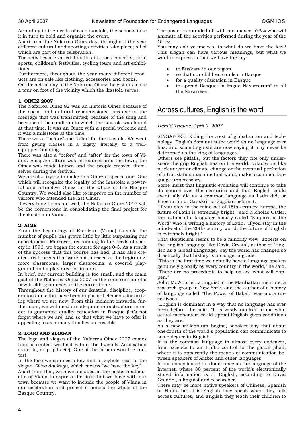According to the needs of each ikastola, the schools take it in turn to hold and organize the event.

Apart from the Nafarroa Oinez day, throughout the year different cultural and sporting activities take place; all of which are part of the celebration.

The activities are varied: handicrafts, rock concerts, rural sports, children's festivities, cycling tours and art exhibitions.

Furthermore, throughout the year many different products are on sale like clothing, accessories and books.

On the actual day of the Nafarroa Oinez the visitors make a tour on foot of the vicinity which the ikastola serves.

### **1. OINEZ 2007**

The Nafarroa Oinez 92 was an historic Oinez because of the social and cultural repercussions; because of the message that was transmitted; because of the song and because of the condition in which the ikastola was found at that time. It was an Oinez with a special welcome and it was a milestone at the time.

There was a "before" and "after" for the ikastola. We went  $\;$ from giving classes in a pigsty (literally) to a wellequipped building.

There was also a "before" and "after" for the town of Viana. Basque culture was introduced into the town; the Oinez was made known and the people enjoyed themselves during the festival.

We are also trying to make this Oinez a special one. One which will recognize the legality of the ikastola; a powerful and attractive Oinez for the whole of the Basque Country. We would also like to improve on the number of visitors who attended the last Oinez.

If everything turns out well, the Nafarroa Oinez 2007 will be the cornerstone in consolidating the final project for the ikastola in Viana.

#### **2. AIMS**

From the beginnings of Erentzun (Viana) ikastola the number of pupils has grown little by little surpassing our expectancies. Moreover, responding to the needs of society in 1996, we began the course for ages 0-3. As a result of the success that this course has had, it has also created fresh needs that were not foreseen at the beginning: more classrooms, larger classrooms, a covered playground and a play area for infants.

In brief, our current building is too small, and the main goal of the Nafarroa Oinez 2007 is the construction of a new building annexed to the current one.

Throughout the history of our ikastola, discipline, cooperation and effort have been important elements for arriving where we are now. From this moment onwards, furthermore, we will need an adequate infrastructure in order to guarantee quality education in Basque (let's not forget where we are) and so that what we have to offer is appealing to as a many families as possible.

#### **3. LOGO AND SLOGAN**

The logo and slogan of the Nafarroa Oinez 2007 comes from a contest we held within the Ikastola Association (parents, ex-pupils etc). One of the fathers won the contest.

In the logo we can see a key and a keyhole next to the slogan *Giltza daukagu,* which means "we have the key".

Apart from this, we have included in the poster a silhouette of Viana to express the link that we have with our town because we want to include the people of Viana in our celebration and project it across the whole of the Basque Country.

The poster is rounded off with our mascot *Giltzi* who will animate all the activities performed during the year of the Oinez.

You may ask yourselves, to what do we have the key? This slogan can have various meanings, but what we want to express is that we have the key:

- to Euskara in our region
- so that our children can learn Basque
- for a quality education in Basque
- to spread Basque "la lingua Navarrorum"to all the Navarrese

### Across cultures, English is the word

#### *Herald Tribune: April 9, 2007*

SINGAPORE: Riding the crest of globalization and technology, English dominates the world as no language ever has, and some linguists are now saying it may never be dethroned as the king of languages.

Others see pitfalls, but the factors they cite only underscore the grip English has on the world: cataclysms like nuclear war or climate change or the eventual perfection of a translation machine that would make a common language unnecessary.

Some insist that linguistic evolution will continue to take its course over the centuries and that English could eventually die as a common language as Latin did, or Phoenician or Sanskrit or Sogdian before it.

"If you stay in the mind-set of 15th-century Europe, the future of Latin is extremely bright," said Nicholas Ostler, the author of a language history called "Empires of the Word" who is writing a history of Latin. "If you stay in the mind-set of the 20th-century world, the future of English is extremely bright."

That skepticism seems to be a minority view. Experts on the English language like David Crystal, author of "English as a Global Language," say the world has changed so drastically that history is no longer a guide.

"This is the first time we actually have a language spoken genuinely globally by every country in the world," he said. "There are no precedents to help us see what will happen."

John McWhorter, a linguist at the Manhattan Institute, a research group in New York, and the author of a history of language called "The Power of Babel," was more unequivocal.

"English is dominant in a way that no language has ever been before," he said. "It is vastly unclear to me what actual mechanism could uproot English given conditions as they are."

As a new millennium begins, scholars say that about one-fourth of the world's population can communicate to some degree in English.

It is the common language in almost every endeavor, from science to air traffic control to the global jihad, where it is apparently the means of communication between speakers of Arabic and other languages.

It has consolidated its dominance as the language of the Internet, where 80 percent of the world's electronically stored information is in English, according to David Graddol, a linguist and researcher.

There may be more native speakers of Chinese, Spanish or Hindi, but it is English they speak when they talk across cultures, and English they teach their children to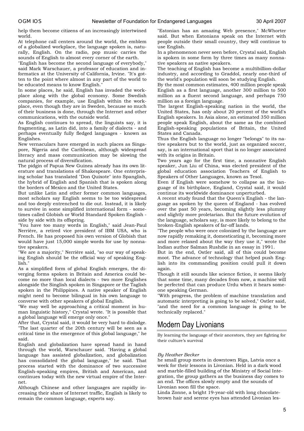help them become citizens of an increasingly intertwined world.

At telephone call centers around the world, the emblem of a globalized workplace, the language spoken is, naturally, English. On the radio, pop music carries the sounds of English to almost every corner of the earth.

"English has become the second language of everybody," said Mark Warschauer, a professor of education and informatics at the University of California, Irvine. "It's gotten to the point where almost in any part of the world to be educated means to know English."

In some places, he said, English has invaded the workplace along with the global economy. Some Swedish companies, for example, use English within the workplace, even though they are in Sweden, because so much of their business is done, through the Internet and other communications, with the outside world.

As English continues to spread, the linguists say, it is fragmenting, as Latin did, into a family of dialects - and perhaps eventually fully fledged languages - known as Englishes.

New vernaculars have emerged in such places as Singapore, Nigeria and the Caribbean, although widespread literacy and mass communication may be slowing the natural process of diversification.

The pidgin of Papua New Guinea already has its own literature and translations of Shakespeare. One enterprising scholar has translated "Don Quixote" into Spanglish, the hybrid of English and Spanish that is spoken along the borders of Mexico and the United States.

But unlike Latin and other former common languages, most scholars say English seems to be too widespread and too deeply entrenched to die out. Instead, it is likely to survive in some simplified international form - sometimes called Globish or World Standard Spoken English side by side with its offspring.

"You have too many words in English," said Jean-Paul Nerrière, a retired vice president of IBM USA, who is French. He has proposed his own version of Globish that would have just 15,000 simple words for use by nonnative speakers.

"We are a majority," Nerrière said, "so our way of speaking English should be the official way of speaking English."

As a simplified form of global English emerges, the diverging forms spoken in Britain and America could become no more than local dialects - two more Englishes alongside the Singlish spoken in Singapore or the Taglish spoken in the Philippines. A native speaker of English might need to become bilingual in his own language to converse with other speakers of global English.

"We may well be approaching a critical moment in human linguistic history," Crystal wrote. "It is possible that a global language will emerge only once."

After that, Crystal said, it would be very hard to dislodge. "The last quarter of the 20th century will be seen as a critical time in the emergence of this global language," he said.

English and globalization have spread hand in hand through the world, Warschauer said. "Having a global language has assisted globalization, and globalization has consolidated the global language," he said. That process started with the dominance of two successive English-speaking empires, British and American, and continues today with the new virtual empire of the Internet.

Although Chinese and other languages are rapidly increasing their share of Internet traffic, English is likely to remain the common language, experts say.

"Estonian has an amazing Web presence," McWhorter said. But when Estonians speak on the Internet with people outside their small country, they will continue to use English.

In a phenomenon never seen before, Crystal said, English is spoken in some form by three times as many nonnative speakers as native speakers.

The teaching of English has become a multibillion-dollar industry, and according to Graddol, nearly one-third of the world's population will soon be studying English.

By the most common estimates, 400 million people speak English as a first language, another 300 million to 500 million as a fluent second language, and perhaps 750 million as a foreign language.

The largest English-speaking nation in the world, the United States, has only about 20 percent of the world's English speakers. In Asia alone, an estimated 350 million people speak English, about the same as the combined English-speaking populations of Britain, the United States and Canada.

Thus the English language no longer "belongs" to its native speakers but to the world, just as organized soccer, say, is an international sport that is no longer associated with its origins in Britain.

Two years ago for the first time, a nonnative English speaker, Jun Liu of China, was elected president of the global education association Teachers of English to Speakers of Other Languages, known as Tesol.

Even if English were somehow to collapse as the language of its birthplace, England, Crystal said, it would continue its worldwide dominance unperturbed.

A recent study found that the Queen's English - the language as spoken by the queen of England - has evolved over the past 50 years, becoming slightly less plummy and slightly more proletarian. But the future evolution of the language, scholars say, is more likely to belong to the broken-English speakers of far-off lands.

"The people who were once colonized by the language are now rapidly remaking it, domesticating it, becoming more and more relaxed about the way they use it," wrote the Indian author Salman Rushdie in an essay in 1991.

But in the end, Ostler said, all of this could become moot. The advance of technology that helped push English into its commanding position could pull it down again.

Though it still sounds like science fiction, it seems likely that some time, many decades from now, a machine will be perfected that can produce Urdu when it hears someone speaking German.

"With progress, the problem of machine translation and automatic interpreting is going to be solved," Ostler said, "and the need for a common language is going to be technically replaced."

### Modern Day Livonians

By learning the language of their ancestors, they are fighting for their culture's survival

#### *By Heather Becker*

he small group meets in downtown Riga, Latvia once a week for their lessons in Livonian. Held in a dark wood and marble-filled building of the Ministry of Social Integration, the group gathers as the business day comes to an end. The offices slowly empty and the sounds of Livonian soon fill the space.

Linda Zonne, a bright 19-year-old with long chocolatebrown hair and serene eyes has attended Livonian les-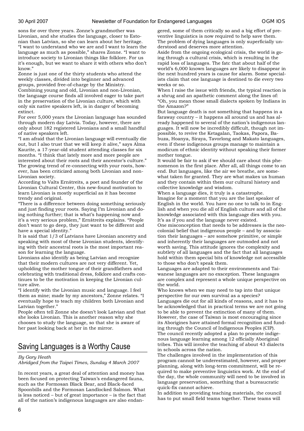sons for over three years. Zonne's grandmother was Livonian, and she studies the language, closer to Estonian than Latvian, so she can learn about her heritage. "I want to understand who we are and I want to learn the language as much as possible," shares Zonne. "I want to introduce society to Livonian things like folklore. For us it's enough, but we want to share it with others who don't know."

Zonne is just one of the thirty students who attend the weekly classes, divided into beginner and advanced groups, provided free-of-charge by the Ministry. Combining young and old, Livonian and non-Livonian, the language course finds all involved eager to take part in the preservation of the Livonian culture, which with only six native speakers left, is in danger of becoming extinct.

For over 5,000 years the Livonian language has sounded through modern day Latvia. Today, however, there are only about 182 registered Livonians and a small handful of native speakers left.

"I am afraid that the Livonian language will eventually die out, but I also trust that we will keep it alive," says Alma Kaurite, a 17-year-old student attending classes for six months. "I think that lately more and more people are interested about their roots and their ancestor's culture." The growing trend of re-connecting with your roots, however, has been criticized among both Livonian and non-Livonian society.

According to Valts Ernštreits, a poet and founder of the Livonian Cultural Center, this new-found motivation to learn Livonian is mostly superficial as it has become trendy and original.

"There is a difference between doing something seriously and just finding your roots. Saying I'm Livonian and doing nothing further; that is what's happening now and it's a very serious problem,"Ernštreits explains. "People don't want to go deep, they just want to be different and have a special identity."

It is said that 1/3 of Latvians have Livonian ancestry and speaking with most of these Livonian students, identifying with their ancestral roots is the most important reason for learning the language.

Livonians also identify as being Latvian and recognize that their modern cultures are not very different. Yet, upholding the mother tongue of their grandfathers and celebrating with traditional dress, folklore and crafts continues to be the motivation in keeping the Livonian culture alive.

"I identify with the Livonian music and language. I feel them as mine; made by my ancestors,"Zonne relates. "I eventually hope to teach my children both Livonian and Latvian together."

People often tell Zonne she doesn't look Latvian and that she looks Livonian. This is another reason why she chooses to study the language, so that she is aware of her past looking back at her in the mirror.

### Saving Languages is a Worthy Cause

#### *By Gary Heath*

*Abridged from the Taipei Times, Sunday 4 March 2007*

In recent years, a great deal of attention and money has been focused on protecting Taiwan's endangered fauna, such as the Formosan Black Bear, and Black-faced Spoonbills and the Formosan Landlocked Salmon. What is less noticed  $-$  but of great importance  $-$  is the fact that all of the nation's indigenous languages are also endan-

gered, some of them critically so and a big effort of preventive linguistics is now required to help save them. The problem of dying languages is only superficially understood and deserves more attention.

Aside from the ongoing ecological crisis, the world is going through a cultural crisis, which is resulting in the rapid loss of languages. The fatc that about half of the world's 6,000 known languages are likely to disappear in the next hundred years is cause for alarm. Some specialists claim that one language is destined to die every two weeks or so.

When I raise the issue with friends, the typical reaction is a shrug and an apathetic comment along the lines of: "Oh, you mean those small dialects spoken by Indians in the Amazon?"

But language death is not something that happens in a faraway country - it happens all around us and has already happened to several of the nation's indigenous languages. It will now be incredibly difficult, though not impossible, to revive the Ketagalan, Taokas, Papora, Babuza, Hoanya, Siraya, Tavorlong and Makato languages, even if these indigenous groups manage to maintain a modicum of ethnic identity without speaking their former mother tongue.

It would be fair to ask if we should care about this phenomenon in the first place. After all, all things come to an end. But languages, like the air we breathe, are somewhat taken for granted. They are what makes us human and they contain within them our cultural history and collective knowledge and wisdom.

When a language dies, it truly is a catastrophe. Imagine for a moment that you are the last speaker of English in the world. You have no one to talk to in English and when you die all of English culture and all of the knowledge associated with this language dies with you. It's as if you and the language never existed.

One misconception that needs to be addresses is the neocolonial belief that indigenous people – and by association their languages – are somehow primitive, or simple and inherently their languages are outmoded and not worth saving. This attitude ignores the complexity and subtlety of all languages and the fact that all languages hold within them special bits of knowledge not accessible to those who don't speak them.

Languages are adapted to their environments and Taiwanese languages are no exsception. These languages are complex and represent a whole unique perspective on the world.

Who knows when we may need to tap into that unique perspective for our own survival as a species? Languages die out for all kinds of reasons, and it has to be acknowledged that in practical terms we are not going to be able to prevent the extinction of many of them. However, the case of Taiwan is most encouraging since its Aborigines have attained formal recognition and funding through the Council of Indigenous Peoples (CIP). The council recently adopted a plan to promote indigenous language learning among 12 officially Aboriginal tribes. This will involve the teaching of about 43 dialects in schools across the nation.

The challenges involved in the implementation of this program cannoit be underestimated, however, and proper planning, along with long-term commitment, will be required to make preventive linguistics work. At the end of the day, the whole community will need to be involved in language preservation, something that a bureaucratic quick-fix cannot achieve.

In addition to providing teaching materials, the council has to put small field teams together. These teams will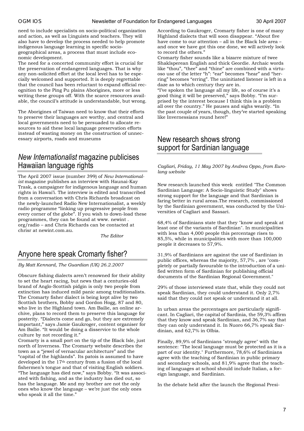#### OGMIOS Newsletter of Foundation for Endangered Languages 30 April 2007

need to include specialists on socio-political organization and action, as well as l;inguists and teachers. They will also have to develop the process needed to help promote indigenous language learning in specific sociogeographical areas, a process that must include economic development.

The need for a concerted community effort is crucial for the preservation of endangered languages. That is why any non-solicited effort at the local level has to be especially welcomed and supported. It is deeply regrettable that the council has been reluctant to expand official recognition to the Ping Pu plains Aborigines, more or less writing these groups off. With the scarce resources available, the council's attitude is understandable, but wrong.

The Aborigines of Taiwan need to know that their efforts to preserve their languages are worthy, and central and local governments need to be persuaded to allocate resources to aid these local language preservation efforts instead of wasting money on the construction of unnecessary airports, roads and museums

### *New Internationalist* magazine publicises Hawaiian language rights

The April 2007 issue (number 399) of *New Internationalist* magazine publishes an interview with Haunai-Kay Trask, a campaigner for indigenous language and human rights in Hawai'i. The interview is edited and transcribed from a conversation with Chris Richards broadcast on the newly-launched Radio New Internationalist, a weekly radio programme "linking up progressive people from every corner of the globe". If you wish to down-load these programmes, they can be found at www. newint . org/radio –and Chris Richards can be contacted at chrisr at newint.com.au.

*The Editor*

### Anyone here speak Cromarty fisher?

*By Matt Kennard, The Guardian (UK) 26.2.2007*

Obscure fishing dialects aren't renowned for their ability to set the heart racing, but news that a centuries-old brand of Anglo-Scottish pidgin is only two people from extinction has induced mild panic among traditionalists. The Cromarty fisher dialect is being kept alive by two Scottish brothers, Bobby and Gordon Hogg, 87 and 80, who live in the Highland town. Am Bailie, an online archive, plans to record them to preserve this language for posterity. "Dialects come and go, but they are extremely important,"says Jamie Gaukroger, content organiser for Am Bailie. "It would be doing a disservice to the whole culture by not recording it."

Cromarty is a small port on the tip of the Black Isle, just north of Inverness. The Cromarty website describes the town as a "jewel of vernacular architecture"and the "capital of the highlands". Its patois is assumed to have developed in the 17th century from a fusion of the local fishermen's tongue and that of visiting English soldiers. "The language has died now,"says Bobby. "It was associated with fishing, and as the industry has died out, so has the language. Me and my brother are not the only ones who know the language – we're just the only ones who speak it all the time."

According to Gaukroger, Cromarty fisher is one of many Highland dialects that will soon disappear. "About five have come to our attention – all in the Black Isle area – and once we have got this one done, we will actively look to record the others."

Cromarty fisher sounds like a bizarre mixture of twee Shaklsperean English and thick Geordie. Archaic words like "thou", "thee"and "thine"are combined with a virtuoso use of the letter "h": "ear"becomes "hear"and "herring"becomes "erring". The uninitiated listener is left in a daze as to which century they are in.

"I've spoken the language all my life, so of course it's a good thing it will be preserved,"says Bobby. "I'm surprised by the interest because I think this is a problem all over the country."He pauses and sighs wearily. "In the past couple of years, though, they've started speaking like Invernessians round here!"

### New research shows strong support for Sardinian language

*Cagliari, Friday, 11 May 2007 by Andrea Oppo, from Eurolang website*

New research launched this week entitled "The Common Sardinian Language: A Socio-linguistic Study" shows strong support for the language and that Sardinian is faring better in rural areas.The research, commissioned by the Sardinian government, was conducted by the Universities of Cagliari and Sassari.

68,4% of Sardinians state that they "know and speak at least one of the variants of Sardinian". In municipalities with less than 4,000 people this percentage rises to 85,5%, while in municipalities with more than 100,000 people it decreases to 57,9%.

31,9% of Sardinians are against the use of Sardinian in public offices, whereas the majority, 57,7% , are "completely or partially favourable to the introduction of a unified written form of Sardinian for publishing official documents of the Sardinian Regional Government."

29% of those interviewed state that, while they could not speak Sardinian, they could understand it. Only 2,7% said that they could not speak or understand it at all.

In urban areas the percentages are particularly significant. In Cagliari, the capital of Sardinia, the 59,3% affirm that they know and speak Sardinian, and 36,7% say that they can only understand it. In Nuoro 66,7% speak Sardinian, and 62,7% in Olbia.

Finally, 89,9% of Sardinians "strongly agree" with the sentence: "The local language must be protected as it is a part of our identity." Furthermore, 78,6% of Sardinians agree with the teaching of Sardinian in public primary and secondary schools, and 81,9% agree that the teaching of languages at school should include Italian, a foreign language, and Sardinian.

In the debate held after the launch the Regional Presi-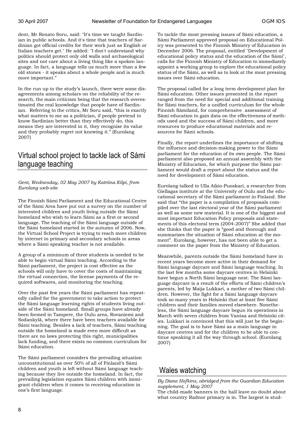dent, Mr Renato Soru, said: "It's time we taught Sardinian in public schools. And it's time that teachers of Sardinian got official credits for their work just as English or Italian teachers get." He added: "I don't understand why politics should protect only old walls and archaeological sites and not care about a living thing like a spoken language. In fact, a language tells us much more than a few old stones - it speaks about a whole people and is much more important."

In the run up to the study's launch, there were some disagreements among scholars on the reliability of the research, the main criticism being that the research overestimated the real knowledge that people have of Sardinian. Referring to the critics, Mr Soru said, "this is exactly what matters to me as a politician, if people pretend to know Sardinian better than they effectively do, this means they are interested in it, they recognise its value and they probably regret not knowing it."(Eurolang 2007)

### Virtual school project to tackle lack of Sámi language teaching

#### *Gent, Wednesday, 02 May 2007 by Katriina Kilpi, from Eurolang web-site*

The Finnish Sámi Parliament and the Educational Centre of the Sámi Area have put out a survey on the number of interested children and youth living outside the Sámi homeland who wish to learn Sámi as a first or second language. The teaching of the Sámi language outside of the Sámi homeland started in the autumn of 2006. Now, the Virtual School Project is trying to reach more children by internet in primary and secondary schools in areas where a Sámi speaking teacher is not available.

A group of a minimum of three students is needed to be able to begin virtual Sámi teaching. According to the Sámi parliament, the project is cost effective as the schools will only have to cover the costs of maintaining the virtual connection, the license payments of the required softwares, and monitoring the teaching.

Over the past few years the Sámi parliament has repeatedly called for the government to take action to protect the Sámi language learning rights of students living outside of the Sámi homeland. Small groups have already been formed in Tampere, the Oulu area, Rovaniemi and Sodankylä, where there have been teachers available for Sámi teaching. Besides a lack of teachers, Sámi teaching outside the homeland is made even more difficult as there are no laws protecting this right, municipalities lack funding, and there exists no common curriculum for Sámi education.

The Sámi parliament considers the prevailing situation unconstitutional as over 50% of all of Finland's Sámi children and youth is left without Sámi language teaching because they live outside the homeland. In fact, the prevailing legislation equates Sámi children with immigrant children when it comes to receiving education in one's first language.

To tackle the most pressing issues of Sámi education, a Sámi Parliament approved proposal on Educational Policy was presented to the Finnish Ministry of Education in December 2006. The proposal, entitled "Development of educational policy status and the education of the Sámi", calls for the Finnish Ministry of Education to immediately appoint a working group to explore the educational policy status of the Sámi, as well as to look at the most pressing issues over Sámi education.

The proposal called for a long term development plan for Sámi education. Other issues presented in the report ranged from the need for special and additional training for Sámi teachers, for a unified curriculum for the whole Finnish Sámiland, for comprehensive assessment of Sámi education to gain data on the effectiveness of methods used and the success of Sámi children, and more resources to produce educational materials and resources for Sámi schools.

Finally, the report underlines the importance of shifting the influence and decision-making power to the Sámi parliament for the education of its own people. The Sámi parliament also proposed an annual assembly with the Ministry of Education, for which purpose the Sámi parliament would draft a report about the status and the need for development of Sámi education.

Eurolang talked to Ulla Aikio-Puoskari, a researcher from Giellagas institute at the University of Oulu and the educational secretary of the Sámi parliament in Finland. She said that "the paper is a compilation of proposals compiled over the last electoral year of the Sámi parliament as well as some new material. It is one of the biggest and most important Education Policy proposals and statements of this electoral term (2004-2007)" She added that she thinks that the paper is "good and thorough and summarizes the situation of Sámi education at the moment". Eurolang, however, has not been able to get a comment on the paper from the Ministry of Education.

Meanwhile, parents outside the Sámi homeland have in recent years become more active in their demand for Sámi language daycare and Sámi language teaching. In the last few months some daycare centres in Helsinki have begun a North Sámi language nest. The Sámi language daycare is a result of the efforts of Sámi children's parents, led by Maija Lukkari, a mother of two Sámi children. However, the fight for a Sámi language daycare took so many years in Helsinki that at least five Sámi children and their families moved elsewhere. Nonetheless, the Sámi language daycare begun its operations in March with seven children from Vantaa and Helsinki cities. Lukkari is convinced that this will just be the beginning. The goal is to have Sámi as a main language in daycare centres and for the children to be able to continue speaking it all the way through school. (Eurolang 2007)

### Wales watching

#### *By Diane Hofkins, abridged from the Guardian Education supplement, 1 May 2007*

The child-made banners in the hall leave no doubt about what country Radnor primary is in. The largest is stud-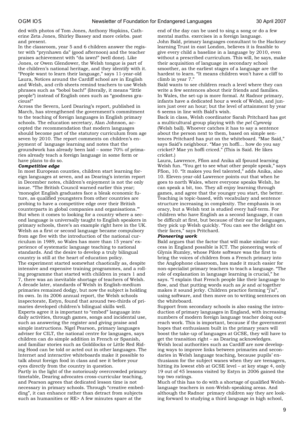ded with photos of Tom Jones, Anthony Hopkins, Catherine Zeta Jones, Shirley Bassey and more celebs. past and present.

In the classroom, year 5 and 6 children answer the register with "prynhawn da"(good afternoon) and the teacher praises achievement with "da iawn!"(well done). Like Jones, or Owen Glendower, the Welsh tongue is part of the children's national heritage, and they identify with it. "People want to learn their language,"says 11-year-old Laura, Notices around the Cardiff school are in English and Welsh, and crib sheets remind teachers to use Welsh phrases such as "bobol bach!"(literally, it means "little people") instead of English ones such as "goodness gracious!"

Across the Severn, Lord Dearing's report, published in March, has strengthened the government's commitment to the teaching of foreign languages in English primary schools. The education secretary, Alan Johnson, accepted the recommendation that modern languages should become part of the statutory curriculum from age seven by 2010. The report comments on children's enjoyment of language learning and notes that the groundwork has already been laid –some 70% of primaries already teach a foreign language in some form or have plans to do so.

#### *Competitive edge*

In most European counties, children start learning foreign languages at seven, and as Dearing's interim report in December notes, children's enjoyment is not the only issue. "The British Council warned earlier this year; 'monoglot English graduates face a bleak economic future, as qualified youngsters from other countries are probing to have a competitive edge over their British counterparts in global companies and organisations.'" But when it comes to looking for a country where a second language is universally taught to English speakers in primary schools, there's an example right here in the UK. Welsh as a first or second language became compulsory from age five with the introduction of the national curriculum in 1989, so Wales has more than 15 years'experience of systematic language teaching to national standards. And the desire to develop a truly bilingual country is still at the heart of education policy. The experiment started somewhat chaotically as, despite intensive and expensive training programmes, and a rolling programme that started with children in years 1 and 7, there was an inevitable shortage of teachers of Welsh. A decade later, standards of Welsh in English-medium primaries remained dodgy, but now the subject is holding its own. In its 2006 annual report, the Welsh schools inspectorate, Estyn, found that around two-thirds of primaries developed children's bilingual skills well. Experts agree it is important to "embed" language into daily activities, through games, songs and incidental use, such as answering the register and giving praise and simple instructions. Nigel Pearson, primary languages adviser for CILT, the national centre for languages, says children can do simple addition in French or Spanish, and familiar stories such as Goldilocks or Little Red Riding Hood can be told or acted out in other languages. The Internet and interactive whiteboards make it possible to talk about foreign food in class and see it before your eyes directly from the country in question. Partly in the light of the notoriously overcrowded primary timetable, Dearing advocates cross-curricular teaching, and Pearson agrees that dedicated lesson time is not necessary in primary schools. Through "creative embedding", it can enhance rather than detract from subjects such as humanities or RE> A few minutes spare at the

end of the day can be used to sing a song or do a few mental maths. exercises in a foreign language. John Bald, primary languages consultant to the Hackney learning Trust in east London, believes it is feasible to give every child a baseline in a language by 2010, even without a prescribed curriculum. This will, he says, make their acquisition of language in secondary school smoother, as the earliest stages of a language are the hardest to learn. "It means children won't have a cliff to climb in year 7."

Bald wants to see children reach a level where they can write a few sentences about their friends and families. In Wales, the set-up is more formal. At Radnor primary, infants have a dedicated hour a week of Welsh, and juniors just over an hour; but the level of attainment by year 6 seems in line with Bald's wish.

Back in class, Welsh coordinator Sarah Pritchard has got a multicultural group playing with the *pel Cymreig* (Welsh ball). Whoever catches it has to say a sentence about the person next to them, based on simple sentences Pritchard has put on the whiteboard. "Mae Said," says Said's neighbour. "Mae yn hoffi… how do you say cricket? Mae yn hoffi criced."(This is Said. He likes cricket.)

Laura, Lawrence, Ffion and Anika all fpound learning Welsh fun. "You get to see what other people speak," says Ffion, 10. "It makes you feel talented,"adds Anika, also 10. Eleven-year-old Lawrence points out that when he goes to north Wales, where everyone speaks Welsh, he can speak a bit, too. They all enjoy learning through games, and agree that the younger you start, the better. Teaching is topic-based, with vocabulary and sentence structure increasing in complexity. The emphasis is on oracy, but a Welsh text is studied every half-term. For children who have English as a second language, it can be difficult at first, but because of their ear for languages, they pick up Welsh quickly. "You can see the delight on their faces,"says Pritchard.

#### *Pioneering work*

Bald argues that the factor that will make similar success in England possible is ICT. The pioneering work of Glynis Rumley, whose Pilote software was the first to bring the voices of children from a French primary into the Anglophone classroom, has made it much easier for non-specialist primary teachers to teach a language. "The role of explanation in language learning is crucial,"he says. "I explain that French people like their language to flow, and that putting words such as *je* and *ai* together makes it sound jerky. Children practice forming "j'ai", using software, and then move on to writing sentences on the whiteboard.

Support from secondary schools is also easing the introduction of primary languages in England, with increasing numbers of modern foreign language teacher doing outreach work. This is important, because if the government hopes that enthusiasm built in the primary years will boost the take-up of languages at GCSE, they will have to get the transition right –as Dearing acknowledges. Welsh local authorities such as Cardiff are now developing ways to improve links between primaries and secondaries in Welsh language teaching, because pupils'enthusiasm for the subject wanes when they are teenagers, hitting its lowest ebb at GCSE level – at key stage 4, only 19 out of 45 lessons visited by Estyn in 2006 gained the top two ratings.

Much of this has to do with a shortage of qualified Welshlanguage teachers in non-Welsh-speaking areas. And although the Radnor primary children say they are looking forward to studying a third language in high school,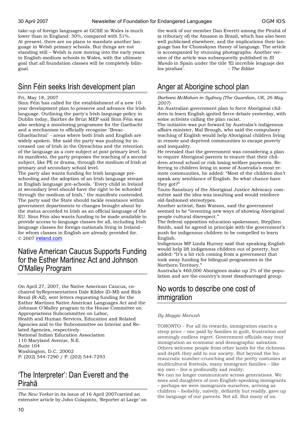take-up of foreign languages at GCSE in Wales is much lower than in England: 30%, compared with 51%. At present, there are no plans to mandate another language in Welsh primary schools. But things are not standing still –Welsh is now moving into the early years in English-medium schools in Wales, with the ultimate goal that all foundation classes will be completely bilingual.

### Sinn Féin seeks Irish development plan

#### Fri, May 18, 2007

Sinn Féin has called for the establishment of a new 10 year development plan to preserve and advance the Irish language. Outlining the party's Irish language policy in Dublin today, Bairbre de Brún MEP said Sinn Féin was also seeking a monitoring programme for the Gaeltacht and a mechanism to officially recognise "Breac-Ghaeltachtaí" - areas where both Irish and English are widely spoken. She said the party was pushing for increased use of Irish in the Oireachtas and the retention of the language as a core subject at post primary level. In its manifesto, the party proposes the teaching of a second subject, like PE or drama, through the medium of Irish at primary and secondary school level.

The party also wants funding for Irish language preschooling and the adoption of an Irish language stream in English language pre-schools. "Every child in Ireland at secondary level should have the right to be schooled through the medium of Irish," the manifesto contended. The party said the State should tackle resistance within government departments to changes brought about by the status accorded to Irish as an official language of the EU. Sinn Féin also wants funding to be made available to provide access to language classes for all, including Irish language classes for foreign-nationals living in Ireland for whom classes in English are already provided for. © 2007 ireland.com

### Native American Caucus Supports Funding for the Esther Martinez Act and Johnson O'Malley Program

On April 27, 2007, the Native American Caucus, cochaired byRepresentatives Dale Kildee (D-MI) and Rick Renzi (R-AZ), sent letters requesting funding for the Esther Martinez Native American Languages Act and the Johnson O'Malley program to the House Committee on Appropriations Subcommittee on Labor, Health and Human Services, Education and Related

Agencies and to the Subcommittee on Interior and Related Agencies, respectively.

National Indian Education Association 110 Maryland Avenue, N.E. Suite 104 Washington, D.C. 20002 P: (202) 544-7290 / F: (202) 544-7293

### 'The Interpreter': Dan Everett and the Pirahã

*The New Yorker* in its issue of 16 April 2007carried an extensive article by John Colapinto, 'Reporter at Large'on the work of our member Dan Everett among the Pirahã of (a tributary of) the Amazon in Brazil, which has also been well publicised elsewhere, and the implications their language has for Chomskyan theory of language. The article is accompanied by stunning photographs. Another version of the article was subsequently published in *El Mundo* in Spain under the title 'El increíble lenguaje des los pirahas'. *–The Editor*

### Anger at Aborigine school plan

#### *Barbara McMahon in Sydney (The Guardian, UK, 26 May 2007)*

An Australian government plan to force Aboriginal children to learn English ignited fierce debate yesterday, with some activists calling the plan racist.

The initiative was put forward by Australia's indigenous affairs minister, Mal Brough, who said the compulsory teaching of English would help Aboriginal children living in remote and deprived communities to escape poverty and inequality.

He revealed that the government was considering a plan to require Aboriginal parents to ensure that their children attend school or risk losing welfare payments. Referring to children living in some of Australia's most remote communities, he added: "Most of the children don't speak any semblance of English. So what chance have they got?"

Tauto Sansbury of the Aboriginal Justice Advocacy committee said the idea was insulting and would reinforce old-fashioned stereotypes.

Another activist, Sam Watson, said the government seemed to be "inventing new ways of showing Aboriginal people cultural disrespect."

The federal opposition education spokesman, Step[hen Smith, said he agreed in principle with the government's push for indigenous children to be compelled to learn English.

Indigenous MP Linda Burney said that speaking English would help lift indigenous children out of poverty, but added: "It's a bit rich coming from a government that took away funding for bilingual programmes in the Northern Territory."

Australia's 460,000 Aborigines make up 2% of the population and are the country's most disadvantaged group.

### No words to describe one cost of immigration

#### *By Maggie Marwah*

TORONTO –For all its rewards, immigration exacts a steep price – one paid by families in guilt, frustration and seemingly endless regret. Government officials may tout immigration as economic and demographic salvation. Others welcome people from other lands for the richness and depth they add to our society. But beyond the bureaucratic number-crunching and the pretty costumes at multicultural festivals, many immigrant families – like my own – live a profoundly sad reality:

We can no longer communicate across generations. We sons and daughters of non-English-speaking immigrants –perhaps we were immigrants ourselves, arriving as children - foolishly, naively, defiantly but readily, gave up the language of our parents. Not all. But many of us.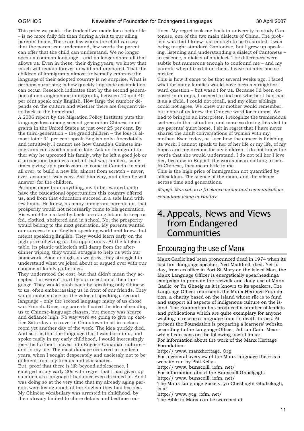This price we paid  $-$  the tradeoff we made for a better life –is no more fully felt than during a visit to our ailing parents' home. There are few words the child can say that the parent can understand, few words the parent can offer that the child can understand. We no longer speak a common language - and no longer share all that allows us. Even in these, their dying years, we know that much will remain forever unsaid and unshared. That the children of immigrants almost universally embrace the language of their adopted country is no surprise. What is perhaps surprising is how quickly linguistic assimilation can occur. Research indicates that by the second generation of non-anglophone immigrants, between 10 and 40 per cent speak only English. How large the number depends on the culture and whether there are frequent visits back to the homeland.

A 2006 report by the Migration Policy Institute puts the language loss among second-generation Chinese immigrants in the United States at just over 25 per cent. By the third-generation – the grandchildren – the loss is almost total: 91 per cent speak English only. Anecdotally and intuitively, I cannot see how Canada's Chinese immigrants can avoid a similar fate. Ask an immigrant father why he uprooted his family, why he left a good job or a prosperous business and all that was familiar, sometimes giving up a profession, to come to Canada, to start all over, to build a new life, almost from scratch – never, ever, assume it was easy. Ask him why, and often he will answer: for the children.

Perhaps more than anything, my father wanted us to have the educational opportunities this country offered us, and from that education succeed in a safe land with few limits. He knew, as many immigrant parents do, that prosperity would not necessarily come to his generation. His would be marked by back-breaking labour to keep us fed, clothed, sheltered and in school. No, the prosperity would belong to the next generation. My parents wanted our success in an English-speaking world and knew that meant speaking English. They would learn early on the high price of giving us this opportunity. At the kitchen table, its plastic tablecloth still damp from the afterdinner wiping, they would struggle to help us with our homework. Soon enough, as we grew, they struggled to understand what we joked about or argued over with our cousins at family gatherings.

They understood the cost, but that didn't mean they accepted it or weren't hurt by our rejection of their language. They would push back by speaking only Chinese to us, often embarrassing us in front of our friends. They would make a case for the value of speaking a second language – only the second language many of us chose was French. Once, my parents floated the idea of sending us to Chinese-language classes, but money was scarce and defiance high. No way were we going to give up carefree Saturdays to travel to Chinatown to sit in a classroom yet another day of the week. The idea quickly died. And so it is that the language that I was born into, and spoke easily in my early childhood, I would increasingly lose the further I moved into English Canadian culture – and in my life. The most damage occurred in my teen years, when I sought desperately and uselessly not to be different from my friends and classmates. But, proof that there is life beyond adolescence, I emerged in my early 20s with regret that I had given up so much of a language I had once even dreamed in. And I was doing so at the very time that my already aging parents were losing much of the English they had learned. My Chinese vocabulary was arrested in childhood, by then already limited to chore details and bedtime routines. My regret took me back to university to study Cantonese, one of the two main dialects of China. The problem was that I knew just enough to be frustrated. I was being taught standard Cantonese, but I grew up speaking, listening and understanding a dialect of Cantonese – in essence, a dialect of a dialect. The differences were subtle but numerous enough to confound me  $-$  and my parents when I tried it on them. I gave up after one semester.

This is how it came to be that several weeks ago, I faced what for many families would have been a straightforward question – but wasn't for us. Because I'd been exposed to mumps, I needed to find out whether I had had it as a child. I could not recall, and my older siblings could not agree. We knew our mother would remember, but none of us knew the Chinese word for mumps. We had to bring in an interpreter. I recognize the tremendous sadness in that situation, and more so during this visit to my parents' quiet home. I sit in regret that I have never shared the adult conversations of women with my mother. Even today, as I see how the cancer is finishing its work, I cannot speak to her of her life or my life, of my hopes and my dreams for my children. I do not know the words that she would understand. I do not tell her I love her, because in English the words mean nothing to her. In Chinese, they mean little to me.

This is the high price of immigration not quantified by officialdom. The silence of the room, and the silence across time and generations.

*Maggie Marwah is a freelance writer and communications consultant living in Halifax.*

### 4. Appeals, News and Views from Endangered **Communities**

### Encouraging the use of Manx

Manx Gaelic had been pronounced dead in 1974 when its last first-language speaker, Ned Maddrell, died. Yet today, from an office in Port St.Mary on the Isle of Man, the Manx Language Officer is energetically spearheadinga campaign to promote the revivalk and daily use of Manx Gaelic, or Yn Ghaelg as it is known to its speakers. The Language Officer represents the Manx Heritage Foundation, a charity based on the island whose rile is to fund and support all aspects of indigenous culture on the island. The Foundation has produced a number of leaflets and publications which are quite exemplary for anyone wishing to rescue a language from its death-throes. At present the Foundation is preparing a learners'website, according to the Language Officer, Adrian Cain. Meanwhile I can pass on the following useful links: For information about the work of the Manx Heritage Foundation:

http:// www. manxheritage. Org

For a general overview of the Manx language there is a website run by Phil Kelly:

http:// www. bunscoill. iofm. net/

For information about the Bunscoill Ghaelgagh:

http:// www. bunscoill. iofm. net/

The Manx Language Society, yn Cheshaght Ghalickagh, is at

http:// www. ycg. iofm. net/

The Bible in Manx can be searched at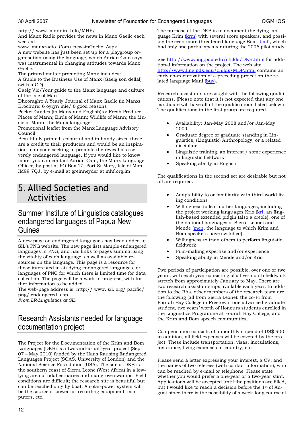http:// www. mannin. Info/MHF/

And Manx Radio provides the news in Manx Gaelic each week at

www. manxradio. Com/ newsinGaelic. Aspx

A new website has just been set up for a playgroup organisation using the language, which Adrian Cain says was instrumental in changing attitudes towards Manx Gaelic.

The printed matter promoting Manx includes:

A Guide to the Business Use of Manx (Gaelg son dellal) (with a CD)

Gaelg Vio/Your guide to the Manx language and culture of the Isle of Man

Dhooraght: A Yearly Journal of Manx Gaelic (in Manx) Brochure: 6 oyryn mie/ 6 good reasons

Pocket Guides (in Manx and English)to: Fresh Produce; Places of Mann; Birds of Mann; Wildlife of Mann; the Music of Mann; the Manx language.

Promotional leaflet from the Manx Language Advisory Council

Beautifully printed, colourful and in handy sizes, these are a credit to their producers and would be an inspiration to anyone seeking to promote the revival of a severely endangered language. If you would like to know more, you can contact Adrian Cain, the Manx Language Officer, by post at PO Box 17, Port St.Mary, Isle of Man IM99 7QJ, by e-mail at greinneyder at mhf.org.im

### 5. Allied Societies and Activities

### Summer Institute of Linguistics catalogues endangered languages of Papua New Guinea

A new page on endangered langugaes has been added to SIL's PNG website. The new page lists sample endangered languages in PNG, and has links to pages summarising the vitality of each language, as well as available resources on the language. This page is a resource for those interested in studying endangered languages, or languages of PNG for which there is limited time for data collection. The page will be a work in progress, with further information to be added.

The web-page address is: http:// www. sil. org/ pacific/ png/ endangered. asp.

*From LR-Linguistics at SIL*

### Research Assistants needed for language documentation project

The Project for the Documentation of the Krim and Bom Languages (DKB) is a two-and-a-half-year project (Sept 07 –May 2010) funded by the Hans Rausing Endangered Languages Project (SOAS, University of London) and the National Science Foundation (USA). The site of DKB is the southern coast of Sierra Leone (West Africa) in a lowlying area of tidal estuaries and mangrove swamps. Field conditions are difficult; the research site is beautiful but can be reached only by boat. A solar-power system will be the source of power for recording equipment, computers, etc.

The purpose of the DKB is to document the dying language Krim (krm) with several score speakers, and possibly the even more threatened language Bom (bmf), which had only one partial speaker during the 2006 pilot study.

See http://www.ling.pdx.edu/childs/DKB.html for additional information on the project. The web site http://www.ling.pdx.edu/childs/MDP.html contains an early characterization of a preceding project on the related language Mani (buy).

Research assistants are sought with the following qualifications. (Please note that it is not expected that any one candidate will have all of the qualifications listed below.) The qualifications in the first group are required.

- Availability: Jan-May 2008 and/or Jan-May 2009
- Graduate degree or graduate standing in Linguistics, (Linguistic) Anthropology, or a related discipline
- Linguistic training, an interest / some experience in linguistic fieldwork
- Speaking ability in English

The qualifications in the second set are desirable but not all are required.

- Adaptability to or familiarity with third-world living conditions
- Willingness to learn other languages, including the project working languages Krio (kri, an English-based extended pidgin (also a creole), one of the national languages of Sierra Leone) and Mende (men, the language to which Krim and Bom speakers have switched)
- Willingness to train others to perform linguistic fieldwork
- Film-making expertise and/or experience
- Speaking ability in Mende and/or Krio

Two periods of participation are possible, over one or two years, with each year consisting of a five-month fieldwork stretch from approximately January to May. There are two research assistantships available each year. In addition to the RAs, other members of the research team are the following (all from Sierra Leone): the co-PI from Fourah Bay College in Freetown, one advanced graduate student, two years'worth of Honours students enrolled in the Linguistics Programme at Fourah Bay College, and the Krim and Bom speech communities.

Compensation consists of a monthly stipend of US\$ 900; in addition, all field expenses will be covered by the project. These include transportation, visas, inoculations, insurance, living expenses in-country, etc.

Please send a letter expressing your interest, a CV, and the names of two referees (with contact information), who can be reached by e-mail or telephone. Please state whether you would prefer a one-year or a two-year stint. Applications will be accepted until the positions are filled, but I would like to reach a decision before the 1st of August since there is the possibility of a week-long course of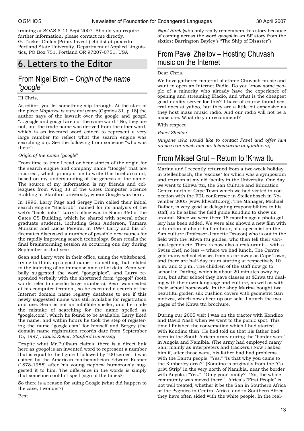training at SOAS 5-11 Sept 2007. Should you require further information, please contact me directly. G. Tucker Childs (Princ. Invest.) childst at pdx.edu Portland State University, Department of Applied Linguistics, PO Box 751, Portland OR 97207-0751, USA

### 6. Letters to the Editor

### From Nigel Birch –*Origin of the name "google*"

#### Hi Chris,

As editor, you let something slip through. At the start of the piece *Mapuche is ours not yours* [Ogmios 31, p.18] the author says of the lawsuit over the google and googol "…google and googol are not the same word."No, they are not, but the trade name was derived from the other word, which is an invented word coined to represent a very large number (to reflect what the search engine was searching on). See the following from someone "who was there":

#### *Origin of the name "google*"

From time to time I read or hear stories of the origin for the search engine and company name "Google" that are incorrect, which prompts me to write this brief account, based on my understanding of the genesis of the name. The source of my information is my friends and colleagues from Wing 38 of the Gates Computer Science Building at Stanford university, where Google was born.

In 1996, Larry Page and Sergey Brin called their initial search engine "Backrub", named for its analysis of the web's "back links". Larry's office was in Room 360 of the Gates CS Building, which he shared with several other graduate students, including Sean Anderson, Tamara Munzner and Lucas Pereira. In 1997 Larry and his officemates discussed a number of possible new names for the rapidly improving search technology. Sean recalls the final brainstorming session as occurring one day during September of that year.

Sean and Larry were in their office, using the whiteboard, trying to think up a good name  $-$  something that related to the indexing of an immense amount of data. Sean verbally suggested the word "googolplex", and Larry responded verbally with the shortened form "googol"(both words refer to specific large numbers). Sean was seated at his computer terminal, so he executed a search of the Internet domain name registry database to see if this newly suggested name was still available for registration and use. Sean is not an infallible speller, and he made the mistake of searching for the name spelled as "google.com", which he found to be available. Larry liked the name, and within hours he took the step of registering the name "google.com" for himself and Sergey (the domain name registration records date from September 15, 1997). *David Koller, Stanford University*

Despite what Mr.Pullham claims, there is a direct link here as *googol* is an invented word to represent a number that is equal to the figure 1 followed by 100 zeroes. It was coined by the American mathematician Edward Kasner (1878-1955) after his young nephew humorously suggested it to him. The difference in the words is simply that someone couldn't spell (sign of the times?)

So there is a reason for suing Google (what did happen to the case, I wonder?)

*Nigel Birch* (who only really remembers this story because of coming across the word *googol* in an SF story from the sixties: Barrington Bayley's "The Ship of Disaster")

### From Pavel Zheltov – Hosting Chuvash music on the Internet

#### Dear Chris,

We have gathered material of ethnic Chuvash music and want to open an Internet Radio. Do you know some people of a minority who already have the experience of opening and streaming IRadio, and what is the cheapest good quality server for this? I have of course found several ones at yahoo, but they are a little bit expensive as they host mass music radio. And our radio will not be a mass one. What do you recommend?

With respect

*Pavel Zheltov*

*(Anyone who would like to contact Pavel and offer him advice can reach him on: tchouvachie at yandex.ru)*

### From Mikael Grut – Return to !Khwa ttu

Marina and I recently returned from a two-week holiday in Stellenbosch, the "excuse" for which was a symposium and reunion at my old faculty in the University. One day we went to !Khwa ttu, the San Culture and Education Centre north of Cape Town which we had visited in connection with the FEL conference in Stellenbosch in November 2005 (www.khwattu.org). The Manager, Michael Daiber, is very good at delegating responsibilities to his staff, so he asked the field guide Kondino to show us around. Since we were there 18 months ago a photo gallery has been added. We were also shown a new film with a duration of about half an hour, of a specialist on the San culture (Professor Jeanette Deacon) who is out in the field with the !Khwa ttu guides, who then tell their various legends etc. There is now also a restaurant -- with a Swiss chef, no less -- where we had lunch. The Centre gets many school classes from as far away as Cape Town, and there are half-day tours starting at respectively 10 a.m. and 2 p.m.. The children of the staff now go to school in Darling, which is about 20 minutes away by bus, but after school they have classes at !Khwa ttu dealing with their own language and culture, as well as with their school homework. In the shop Marina bought two beautiful golden silk cushion covers with geometric San motives, which now cheer up our sofa. I attach the two pages of the Khwa ttu brochure.

During our 2005 visit I was on the tractor with Kondino and David Nash when we went to the picnic spot. This time I finished the conversation which I had started with Kondino then. He had told us that his father had been in the South African army during the "border wars" in Angola and Namibia. (The army had employed many San, mainly as interpreters and trackers.) Now I asked him if, after those wars, his father had had problems with the Bantu people. "Yes." "Is that why you came to the Kimberley area?" (Kondino is originally from the "Caprivi Strip" in the very north of Namibia, near the border with Angola.) "Yes." "Only your family?" "No, the whole community was moved there." Africa's "First People" is not well treated, whether it be the San in Southern Africa or the Pygmies in Central Africa, and in Southern Africa they have often sided with the white people. In the real-

Best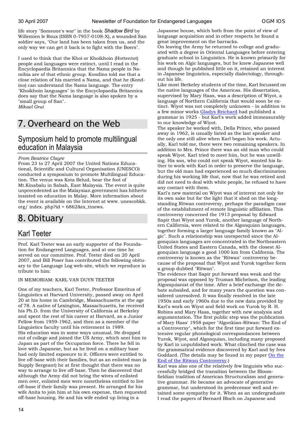life story "Someone's war" in the book *Shadow Bird* by Willemien le Roux (ISBN 0-7957-0108-X), a wounded San soldier says, "Our land has been taken from us, and the only way we can get it back is to fight with the Boers".

I used to think that the Khoi or Khoikhoin (Hottentot) people and languages were extinct, until I read in the Encyclopaedia Britannica that the Nama people in Namibia are of that ethnic group. Kondino told me that a close relation of his married a Nama, and that he (Kondino) can understand the Nama language. The entry "Khoikhoin languages" in the Encyclopaedia Britannica does say that the Nama language is also spoken by a "small group of San". *Mikael Grut*

## 7. Overheard on the Web

### Symposium held to promote multilingual education in Malaysia

#### *From Beatrice Clayre*

From 23 to 27 April 2007 the United Nations Educational, Scientific and Cultural Organisation (UNESCO) conducted a symposium to promote Multilingual Education. The venue was Kota Belud, bear the foot of Mt.Kinabalu in Sabah, East Malaysia. The event is quite unprecedented as the Malaysian government has hitherto insisted on education in Malay. More information about the event is available on the Internet at www. unescobkk. org/ index. php?id = 6862&tx\_ttnews.

## 8. Obituary

### Karl Teeter

Prof. Karl Teeter was an early supporter of the Foundation for Endangered Languages, and at one time he served on our committee. Prof. Teeter died on 20 April 2007, and Bill Poser has contributed the following obituary to the Language Log web-site, which we reproduce in tribute to him:

#### IN MEMORIAM: KARL VAN DUYN TEETER

One of my teachers, Karl Teeter, Professor Emeritus of Linguistics at Harvard University, passed away on April 20 at his home in Cambridge, Massachusetts at the age of 78. A native of Lexington, Massachusetts, he received his Ph.D. from the University of California at Berkeley and spent the rest of his career at Harvard, as a Junior Fellow from 1959-1962, and then as a member of the Linguistics faculty until his retirement in 1989. His education was in some ways unusual. He dropped out of college and joined the US Army, which sent him to Japan as part of the Occupation force. There he fell in love with Japanese, but as he lived on a military base had only limited exposure to it. Officers were entitled to live off-base with their families, but as an enlisted man (a Supply Sergeant) he at first thought that there was no way to arrange to live off-base. Then he discovered that although the Army did not bring the wives of enlisted men over, enlisted men were nonetheless entitled to live off-base if their family was present. He arranged for his wife Anita to join him at his own expense, then requested off-base housing. He and his wife ended up living in a

Japanese house, which both from the point of view of language acquisition and in other respects he found a great improvement on the barracks.

On leaving the Army he returned to college and graduated with a degree in Oriental Languages before entering graduate school in Linguistics. He is known primarily for his work on Algic languages, but he knew Japanese well and though he published little on it, retained an interest in Japanese linguistics, especially dialectology, throughout his life.

Like most Berkeley students of the time, Karl focussed on the native languages of the Americas. His dissertation, supervised by Mary Haas, was a description of Wiyot, a language of Northern California that would soon be extinct. Wiyot was not completely unknown - in addition to a few minor works Gladys Reichard had published a grammar in 1925 - but Karl's work added immeasurably to our knowledge of Wiyot.

The speaker he worked with, Della Prince, who passed away in 1962, is usually listed as the last speaker and the only one still alive when Karl began his work. Actually, Karl told me, there were two remaining speakers. In addition to Mrs. Prince there was an old man who could speak Wiyot. Karl tried to meet him, but he was unwilling. His son, who could not speak Wiyot, wanted his father to work with Karl in order to preserve the language, but the old man had experienced so much discrimination during his working life that, now that he was retired and did not need to deal with white people, he refused to have any contact with them.

Karl's new material on Wiyot was of interest not only for its own sake but for the light that it shed on the longstanding Ritwan controversy, perhaps the paradigm case of the establishment of remote linguistic affiliation. This controversy concerned the 1913 proposal by Edward Sapir that Wiyot and Yurok, another language of Northern California, were related to the Algonquian languages, together forming a larger language family known as "Algic". Such a relationship was unexpected since the Algonquian languages are concentrated in the Northeastern United States and Eastern Canada, with the closest Algonquian language a good 1000 km from California. The controversy is known as the "Ritwan" controversy because of the proposal that Wiyot and Yurok together form a group dubbed "Ritwan".

The evidence that Sapir put forward was weak and the proposal was opposed by Truman Michelson, the leading Algonquianist of the time. After a brief exchange the debate subsided, and for many years the question was considered unresolved. It was finally resolved in the late 1950s and early 1960s due to the new data provided by Karl's work on Wiyot and field work on Yurok by R. H. Robins and Mary Haas, together with new analysis and argumentation. The first public step was the publication of Mary Haas' 1958 paper "Algonkian-Ritwan: The End of a Controversy", which for the first time put forward extensive regular phonological correspondances between Yurok, Wiyot, and Algonquian, including many proposed by Karl in unpublished work. What clinched the case was the grammatical evidence discovered by Karl and by Ives Goddard. (The details may be found in my paper On the End of the Ritwan Controversy.)

Karl was also one of the relatively few linguists who successfully bridged the transition between the Bloomfieldian tradition of American Structuralism and generative grammar. He became an advocate of generative grammar, but understood its predecessor well and retained some sympathy for it. When as an undergraduate I read the papers of Bernard Bloch on Japanese and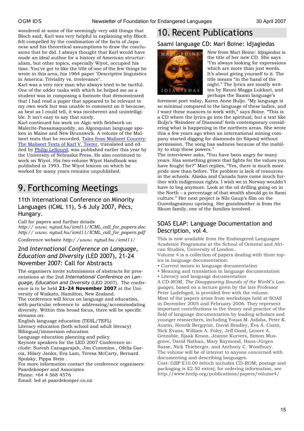wondered at some of the seemingly very odd things that Bloch said, Karl was very helpful in explaining why Bloch felt compelled by the combination of the facts of Japanese and his theoretical assumptions to draw the conclusions that he did. I always thought that Karl would have made an ideal author for a history of American structuralism, but other topics, especially Wiyot, occupied his time. You've got to like the title of one of the few things he wrote in this area, his 1964 paper "Descriptive linguistics in America: Triviality vs. irrelevance".

Karl was a very nice man who always tried to be tactful. One of the odder tasks with which he helped me as a student was in composing a footnote that demonstrated that I had read a paper that appeared to be relevant to my own work but was unable to comment on it because, as best as I could tell, it was incoherent and unintelligible. It isn't easy to say that nicely.

Karl continued his work on Algic with fieldwork on Malecite-Passamaquoddy, an Algonquian language spoken in Maine and New Brunswick. A volume of the Maliseet texts that he recorded, Tales from Maliseet Country: The Maliseet Texts of Karl V. Teeter, translated and edited by Philip LeSourd, was published earlier this year by the University of Nebraska Press. He also continued to work on Wiyot. His two-volume Wiyot Handbook was published in 1993. The Wiyot lexicon on which he worked for many years remains unpublished.

## 9. Forthcoming Meetings

#### 11th International Conference on Minority Languages (ICML 11), 5-6 July 2007, Pécs, Hungary.

Call for papers and further details

*http:// www. nytud.hu/icml11/ICML\_call\_for\_papers.doc http:// www. nytud.hu/icml11/ICML\_call\_for\_papers.pdf*

Conference website *http:/ /www. nytud.hu /icml11/*

### 2nd *International Conference on Language, Education and Diversity* (LED 2007), 21-24 November 2007: Call for Abstracts

The organisers invite submissions of abstracts for presentations at the 2nd *International Conference on Language, Education and Diversity* (LED 2007). The conference is to be held **21-24 November 2007** at the University of Waikato, Hamilton, New Zealand.

The conference will focus on language and education, with particular reference to addressing/accommodating diversity. Within this broad focus, there will be specific streams on:

English language education (TESL/TEFL) Literacy education (both school and adult literacy) Bilingual/immersion education

Language education planning and policy

Keynote speakers for the LED 2007 Conference include: Suresh Canagarajah, Jim Cummins , Ofelia Garcia, Hilary Janks, Eva Lam, Teresa McCarty, Bernard Spolsky, Pippa Stein .

For more information contact the conference organisers: Paardekooper and Associates Phone: +64 4 568 4576

Email: led at paardekooper.co.nz

# 10. Recent Publications

### Saami language CD: Mari Boine: Idjagiedas



New from Mari Boine: *Idjagiedas* is the title of her new CD. She says "I'm always looking for expressions which are more than just words. It's about giving yourself to it. The title means "in the hand of the night."The lyrics are mostly written by Rauni Magga Lukkari, and perhaps the Saami language's

foremost poet today, Karen Anne Buljo. "My language is so minimal compared to the language of these ladies, and I want these nuances to work with,"says Boine. "This is a CD where the lyrics go into the spiritual, but a text like Buljo's 'Reindeer of Diamond' feels contemporary considering what is happening in the northern areas. She wrote this a few years ago when an international mining company started digging for diamonds (in Sápmi) without permission. The song has sadness because of the inability to stop these powers."

The interviewer asks, "You have been angry for many years. Has something grown that fights for the values you have fought for?" Mari replies, "Yes, there is much more pride now than before. The problem is lack of resources in the schools. Alaska and Canada have come much further with indigenous rights. I wish we in Norway wouldn't have to beg anymore. Look at the oil drilling going on in the North –a percentage of that wealth should go to Sami culture."Her next project is Nils Gaup's film on the Guovdageainnu uprising. Her grandmother is from the Skum family, one of the families involved.

#### SOAS ELAP: Language Documentation and Description, vol 4.

This is now available from the Endangered Languages Academic Programme at the School of Oriental and African Studies, University of London.. Volume 4 is a collection of papers dealing with three top-

- ics in language documentation:
- •Current issues in language documentation
- •Meaning and translation in language documentation
- •Literacy and language documentation

A CD-ROM, *The Disappearing Sounds of the World's Languages,* based on a lecture given by the late Professor Peter Ladefoged, is provided free with the volume. Most of the papers arose from workshops held at SOAS in December 2005 and February 2006. They represent important contributions to the theory and practice of the field of language documentation by leading scholars and younger researchers, including Yonas M. Asfaha, Peter K. Austin, Henrik Bergqvist, David Bradley, Éva Á. Csató, Nick Evans, William A. Foley, Jeff Good, Lenore A. Grenoble, Sjaak Kroon, Jeanne Kurvers, Simon Musgrave, David Nathan, Mary Raymond, Hans-Jürgen Sasse, Nick Thieberger, and Anthony C. Woodbury. The volume will be of interest to anyone concerned with documenting and describing languages. Cost: GBP £10.00 (which includes CD-ROM; postage and packaging is £2.50 extra); for ordering information, see

http://www.hrelp.org/publications/papers/volume4/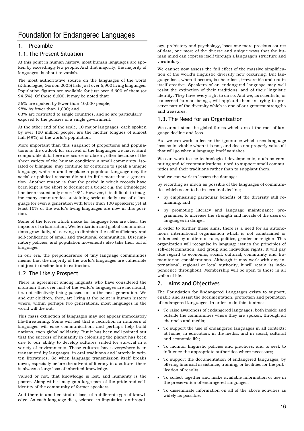#### 1. Preamble

#### 1.1. The Present Situation

At this point in human history, most human languages are spoken by exceedingly few people. And that majority, the majority of languages, is about to vanish.

The most authoritative source on the languages of the world (Ethnologue, Gordon 2005) lists just over 6,900 living languages. Population figures are available for just over 6,600 of them (or 94.5%). Of these 6,600, it may be noted that:

56% are spoken by fewer than 10,000 people;

28% by fewer than 1,000; and

83% are restricted to single countries, and so are particularly exposed to the policies of a single government.

At the other end of the scale, 10 major languages, each spoken by over 100 million people, are the mother tongues of almost half (49%) of the world's population.

More important than this snapshot of proportions and populations is the outlook for survival of the languages we have. Hard comparable data here are scarce or absent, often because of the sheer variety of the human condition: a small community, isolated or bilingual, may continue for centuries to speak a unique language, while in another place a populous language may for social or political reasons die out in little more than a generation. Another reason is that the period in which records have been kept is too short to document a trend: e.g. the Ethnologue has been issued only since 1951. However, it is difficult to imagine many communities sustaining serious daily use of a language for even a generation with fewer than 100 speakers: yet at least 10% of the world's living languages are now in this position.

Some of the forces which make for language loss are clear: the impacts of urbanization, Westernization and global communications grow daily, all serving to diminish the self-sufficiency and self-confidence of small and traditional communities. Discriminatory policies, and population movements also take their toll of languages.

In our era, the preponderance of tiny language communities means that the majority of the world's languages are vulnerable not just to decline but to extinction.

#### 1.2. The Likely Prospect

There is agreement among linguists who have considered the situation that over half of the world's languages are moribund, i.e. not effectively being passed on to the next generation. We and our children, then, are living at the point in human history where, within perhaps two generations, most languages in the world will die out.

This mass extinction of languages may not appear immediately life-threatening. Some will feel that a reduction in numbers of languages will ease communication, and perhaps help build nations, even global solidarity. But it has been well pointed out that the success of humanity in colonizing the planet has been due to our ability to develop cultures suited for survival in a variety of environments. These cultures have everywhere been transmitted by languages, in oral traditions and latterly in written literatures. So when language transmission itself breaks down, especially before the advent of literacy in a culture, there is always a large loss of inherited knowledge.

Valued or not, that knowledge is lost, and humanity is the poorer. Along with it may go a large part of the pride and selfidentity of the community of former speakers.

And there is another kind of loss, of a different type of knowledge. As each language dies, science, in linguistics, anthropol-

ogy, prehistory and psychology, loses one more precious source of data, one more of the diverse and unique ways that the human mind can express itself through a language's structure and vocabulary.

We cannot now assess the full effect of the massive simplification of the world's linguistic diversity now occurring. But language loss, when it occurs, is sheer loss, irreversible and not in itself creative. Speakers of an endangered language may well resist the extinction of their traditions, and of their linguistic identity. They have every right to do so. And we, as scientists, or concerned human beings, will applaud them in trying to preserve part of the diversity which is one of our greatest strengths and treasures.

#### 1.3. The Need for an Organization

We cannot stem the global forces which are at the root of language decline and loss.

But we can work to lessen the ignorance which sees language loss as inevitable when it is not, and does not properly value all that will go when a language itself vanishes.

We can work to see technological developments, such as computing and telecommunications, used to support small communities and their traditions rather than to supplant them.

And we can work to lessen the damage:

by recording as much as possible of the languages of communities which seem to be in terminal decline;

- by emphasizing particular benefits of the diversity still remaining; and
- by promoting literacy and language maintenance programmes, to increase the strength and morale of the users of languages in danger.

In order to further these aims, there is a need for an autonomous international organization which is not constrained or influenced by matters of race, politics, gender or religion. This organization will recognise in language issues the principles of self-determination, and group and individual rights. It will pay due regard to economic, social, cultural, community and humanitarian considerations. Although it may work with any international, regional or local Authority, it will retain its independence throughout. Membership will be open to those in all walks of life.

#### 2. Aims and Objectives

The Foundation for Endangered Languages exists to support, enable and assist the documentation, protection and promotion of endangered languages. In order to do this, it aims:

- To raise awareness of endangered languages, both inside and outside the communities where they are spoken, through all channels and media;
- To support the use of endangered languages in all contexts: at home, in education, in the media, and in social, cultural and economic life;
- To monitor linguistic policies and practices, and to seek to influence the appropriate authorities where necessary;
- To support the documentation of endangered languages, by offering financial assistance, training, or facilities for the publication of results;
- To collect together and make available information of use in the preservation of endangered languages;
- To disseminate information on all of the above activities as widely as possible.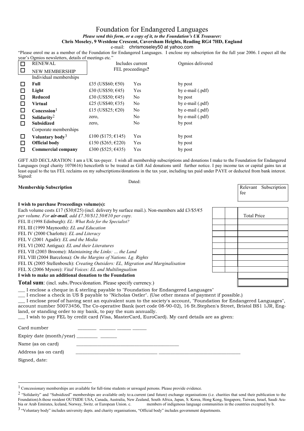#### Foundation for Endangered Languages *Please send this form, or a copy of it, to the Foundation's UK Treasurer:* **Chris Moseley, 9 Westdene Crescent, Caversham Heights, Reading RG4 7HD, England** e-mail: chrismoseley50 at yahoo.com

"Please enrol me as a member of the Foundation for Endangered Languages. I enclose my subscription for the full year 2006. I expect all the year's Ogmios newsletters, details of meetings etc."

|              | <b>RENEWAL</b>              | Includes current<br>FEL proceedings? |                | Ogmios delivered |  |
|--------------|-----------------------------|--------------------------------------|----------------|------------------|--|
| $\Box$       | <b>NEW MEMBERSHIP</b>       |                                      |                |                  |  |
|              | Individual memberships      |                                      |                |                  |  |
|              | Full                        | £35 (US\$60; $€50$ )                 | Yes            | by post          |  |
|              | Light                       | £30 (US\$50; $€45$ )                 | Yes            | by e-mail (.pdf) |  |
|              | <b>Reduced</b>              | £30 (US\$50; $€45$ )                 | N <sub>0</sub> | by post          |  |
|              | <b>Virtual</b>              | £25 (US\$40; $€35$ )                 | No.            | by e-mail (.pdf) |  |
|              | Concession <sup>1</sup>     | £15 (US\$25; $€20$ )                 | No.            | by e-mail (.pdf) |  |
| Ħ            | Solidarity <sup>2</sup>     | zero,                                | No.            | by e-mail (.pdf) |  |
|              | <b>Subsidized</b>           | zero,                                | No             | by post          |  |
|              | Corporate memberships       |                                      |                |                  |  |
| $\mathbf{L}$ | Voluntary body <sup>3</sup> | £100 (\$175; $€145$ )                | Yes            | by post          |  |
|              | <b>Official body</b>        | £150 (\$265; $E$ 220)                | Yes            | by post          |  |
|              | <b>Commercial company</b>   | £300 (\$525; $\epsilon$ 435)         | Yes            | by post          |  |
|              |                             |                                      |                |                  |  |

GIFT AID DECLARATION: I am a UK tax-payer. I wish all membership subscriptions and donations I make to the Foundation for Endangered Languages (regd charity 1070616) henceforth to be treated as Gift Aid donations until further notice. I pay income tax or capital gains tax at least equal to the tax FEL reclaims on my subscriptions/donations in the tax year, including tax paid under PAYE or deducted from bank interest. Signed: Dated:

| <b>Membership Subscription</b>                                                                        | Subscription<br>Relevant<br>fee |
|-------------------------------------------------------------------------------------------------------|---------------------------------|
| I wish to purchase Proceedings volume(s):                                                             |                                 |
| Each volume costs £17 (\$30; $E$ 25) (incl. delivery by surface mail.). Non-members add £3/\$5/ $E$ 5 |                                 |
| per volume. For <b>air-mail</b> , add £7.50/\$12.50/ $\epsilon$ 10 per copy.                          | <b>Total Price</b>              |
| FEL II (1998 Edinburgh): <i>EL</i> : <i>What Role for the Specialist?</i>                             |                                 |
| FEL III (1999 Maynooth): EL and Education                                                             |                                 |
| FEL IV (2000 Charlotte): EL and Literacy                                                              |                                 |
| FEL V (2001 Agadir): EL and the Media                                                                 |                                 |
| FEL VI (2002 Antigua): EL and their Literatures                                                       |                                 |
| FEL VII (2003 Broome): Maintaining the Links:  the Land                                               |                                 |
| FEL VIII (2004 Barcelona): On the Margins of Nations. Lg. Rights                                      |                                 |
| FEL IX (2005 Stellenbosch): Creating Outsiders: EL, Migration and Marginalisation                     |                                 |
| FEL X (2006 Mysore): Vital Voices: EL and Multilingualism                                             |                                 |
| I wish to make an additional donation to the Foundation                                               |                                 |
| <b>Total sum:</b> (incl. subs./Procs/donation. Please specify currency.)                              |                                 |
| I an alage a gleaster in Antiphine paralleled to "Patterbation for Predamperal Lamproper"             |                                 |

 $\_$  I enclose a cheque in  $\pounds$  sterling payable to "Foundation for Endangered Languages"

\_\_\_ I enclose a check in US \$ payable to "Nicholas Ostler". (Use other means of payment if possible.)

\_\_\_ I enclose proof of having sent an equivalent sum to the society's account, "Foundation for Endangered Languages", account number 50073456, The Co-operative Bank (sort code 08-90-02), 16 St.Stephen's Street, Bristol BS1 1JR, England, or standing order to my bank, to pay the sum annually.

\_\_\_ I wish to pay FEL by credit card (Visa, MasterCard, EuroCard). My card details are as given:

Card number

Expiry date (month/year) \_\_\_\_\_\_\_\_\_ \_\_\_\_\_\_\_

Name (as on card)

Address (as on card)

Signed, date:

<sup>1</sup> Concessionary memberships are available for full-time students or unwaged persons. Please provide evidence.

<sup>&</sup>lt;sup>2</sup> "Solidarity" and "Subsidized" memberships are available only to:a.current (and future) exchange organisations (i.e. charities that send their publication to the Foundation).b.those resident OUTSIDE USA, Canada, Australia, New Zealand, South Africa, Japan, S. Korea, Hong Kong, Singapore, Taiwan, Israel, Saudi Ara-<br>bia or Arab Emirates, Iceland, Norway, Switz. or European Union. c. members of indigenous language communities in the countries excepted by b.

<sup>3</sup> "Voluntary body"includes university depts. and charity organisations, "Official body"includes government departments.